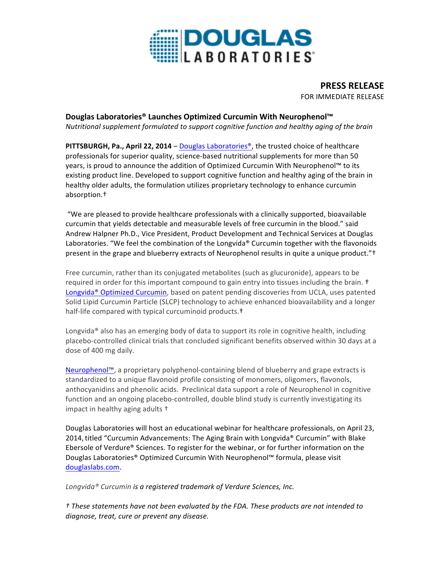

**PRESS RELEASE** FOR IMMEDIATE RELEASE

## **Douglas Laboratories® Launches Optimized Curcumin With Neurophenol™**

*Nutritional supplement formulated to support cognitive function and healthy aging of the brain* 

**PITTSBURGH, Pa., April 22, 2014** – Douglas Laboratories®, the trusted choice of healthcare professionals for superior quality, science-based nutritional supplements for more than 50 years, is proud to announce the addition of Optimized Curcumin With Neurophenol™ to its existing product line. Developed to support cognitive function and healthy aging of the brain in healthy older adults, the formulation utilizes proprietary technology to enhance curcumin absorption.†

"We are pleased to provide healthcare professionals with a clinically supported, bioavailable curcumin that yields detectable and measurable levels of free curcumin in the blood." said Andrew Halpner Ph.D., Vice President, Product Development and Technical Services at Douglas Laboratories. "We feel the combination of the Longvida® Curcumin together with the flavonoids present in the grape and blueberry extracts of Neurophenol results in quite a unique product."<sup>†</sup>

Free curcumin, rather than its conjugated metabolites (such as glucuronide), appears to be required in order for this important compound to gain entry into tissues including the brain. <sup>†</sup> Longvida<sup>®</sup> Optimized Curcumin, based on patent pending discoveries from UCLA, uses patented Solid Lipid Curcumin Particle (SLCP) technology to achieve enhanced bioavailability and a longer half-life compared with typical curcuminoid products.<sup>†</sup>

Longvida® also has an emerging body of data to support its role in cognitive health, including placebo-controlled clinical trials that concluded significant benefits observed within 30 days at a dose of 400 mg daily.

Neurophenol™, a proprietary polyphenol-containing blend of blueberry and grape extracts is standardized to a unique flavonoid profile consisting of monomers, oligomers, flavonols, anthocyanidins and phenolic acids. Preclinical data support a role of Neurophenol in cognitive function and an ongoing placebo-controlled, double blind study is currently investigating its impact in healthy aging adults <sup>+</sup>

Douglas Laboratories will host an educational webinar for healthcare professionals, on April 23, 2014, titled "Curcumin Advancements: The Aging Brain with Longvida® Curcumin" with Blake Ebersole of Verdure<sup>®</sup> Sciences. To register for the webinar, or for further information on the Douglas Laboratories® Optimized Curcumin With Neurophenol™ formula, please visit douglaslabs.com.

Longvida<sup>®</sup> Curcumin is a registered trademark of Verdure Sciences, Inc.

*† These statements have not been evaluated by the FDA. These products are not intended to diagnose, treat, cure or prevent any disease.*